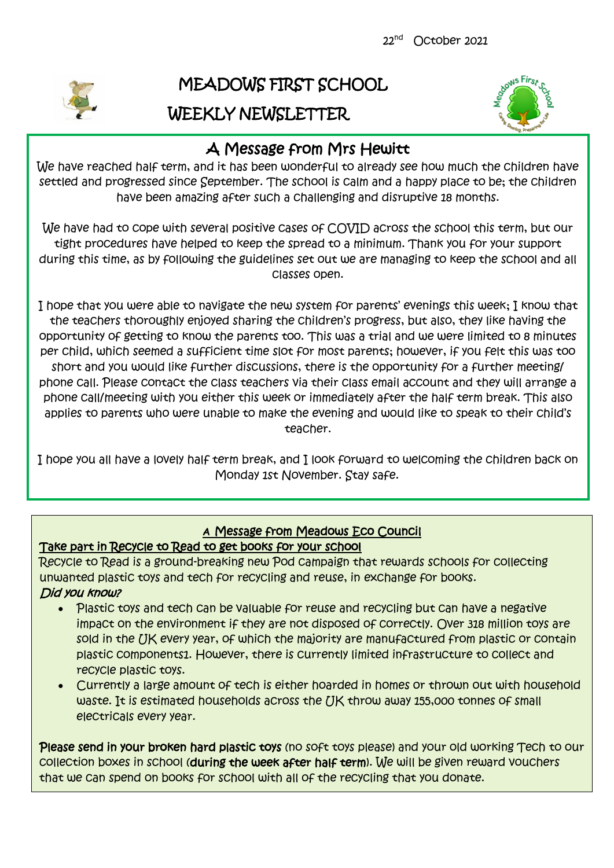

# MEADOWS FIRST SCHOOL WEEKLY NEWSLETTER



# A Message from Mrs Hewitt

We have reached half term, and it has been wonderful to already see how much the children have settled and progressed since September. The school is calm and a happy place to be; the children have been amazing after such a challenging and disruptive 18 months.

We have had to cope with several positive cases of COVID across the school this term, but our tight procedures have helped to keep the spread to a minimum. Thank you for your support during this time, as by following the guidelines set out we are managing to keep the school and all classes open.

I hope that you were able to navigate the new system for parents' evenings this week; I know that the teachers thoroughly enjoyed sharing the children's progress, but also, they like having the opportunity of getting to know the parents too. This was a trial and we were limited to 8 minutes per child, which seemed a sufficient time slot for most parents; however, if you felt this was too short and you would like further discussions, there is the opportunity for a further meeting/ phone call. Please contact the class teachers via their class email account and they will arrange a phone call/meeting with you either this week or immediately after the half term break. This also applies to parents who were unable to make the evening and would like to speak to their child's teacher.

I hope you all have a lovely half term break, and I look forward to welcoming the children back on Monday 1st November. Stay safe.

# [office@meadows.worcs.sch.uk](mailto:office@meadows.worcs.sch.uk) **<sup>A</sup>**Message from Meadows Eco Council

# Take part in Recycle to Read to get books for your school

Recycle to Read is a ground-breaking new Pod campaign that rewards schools for collecting unwanted plastic toys and tech for recycling and reuse, in exchange for books. Did you know?

- Plastic toys and tech can be valuable for reuse and recycling but can have a negative impact on the environment if they are not disposed of correctly. Over 318 million toys are sold in the IJK every year, of which the majority are manufactured from plastic or contain plastic components1. However, there is currently limited infrastructure to collect and recycle plastic toys.
- Currently a large amount of tech is either hoarded in homes or thrown out with household waste. It is estimated households across the UK throw away 155,000 tonnes of small electricals every year.

Please send in your broken hard plastic toys (no soft toys please) and your old working Tech to our collection boxes in school (during the week after half term). We will be given reward vouchers that we can spend on books for school with all of the recycling that you donate.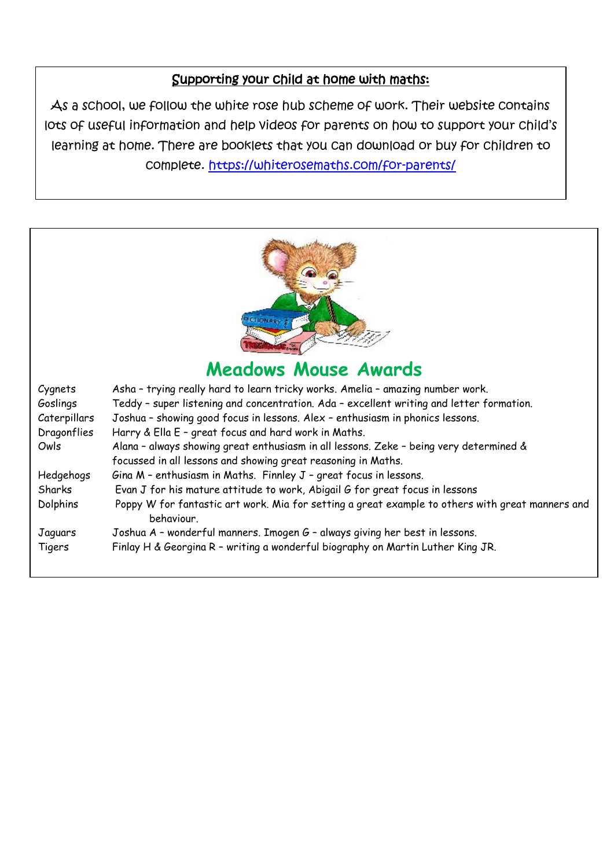# Supporting your child at home with maths:

As a school, we follow the white rose hub scheme of work. Their website contains lots of useful information and help videos for parents on how to support your child's learning at home. There are booklets that you can download or buy for children to complete. <https://whiterosemaths.com/for-parents/>



# **Meadows Mouse Awards**

| Cygnets      | Asha - trying really hard to learn tricky works. Amelia - amazing number work.                                 |
|--------------|----------------------------------------------------------------------------------------------------------------|
| Goslings     | Teddy - super listening and concentration. Ada - excellent writing and letter formation.                       |
| Caterpillars | Joshua - showing good focus in lessons. Alex - enthusiasm in phonics lessons.                                  |
| Dragonflies  | Harry & Ella E - great focus and hard work in Maths.                                                           |
| Owls         | Alana - always showing great enthusiasm in all lessons. Zeke - being very determined &                         |
|              | focussed in all lessons and showing great reasoning in Maths.                                                  |
| Hedgehogs    | Gina M - enthusiasm in Maths. Finnley J - great focus in lessons.                                              |
| Sharks       | Evan J for his mature attitude to work, Abigail G for great focus in lessons                                   |
| Dolphins     | Poppy W for fantastic art work. Mia for setting a great example to others with great manners and<br>behaviour. |
| Jaguars      | Joshua A - wonderful manners. Imogen G - always giving her best in lessons.                                    |
| Tigers       | Finlay H & Georgina R - writing a wonderful biography on Martin Luther King JR.                                |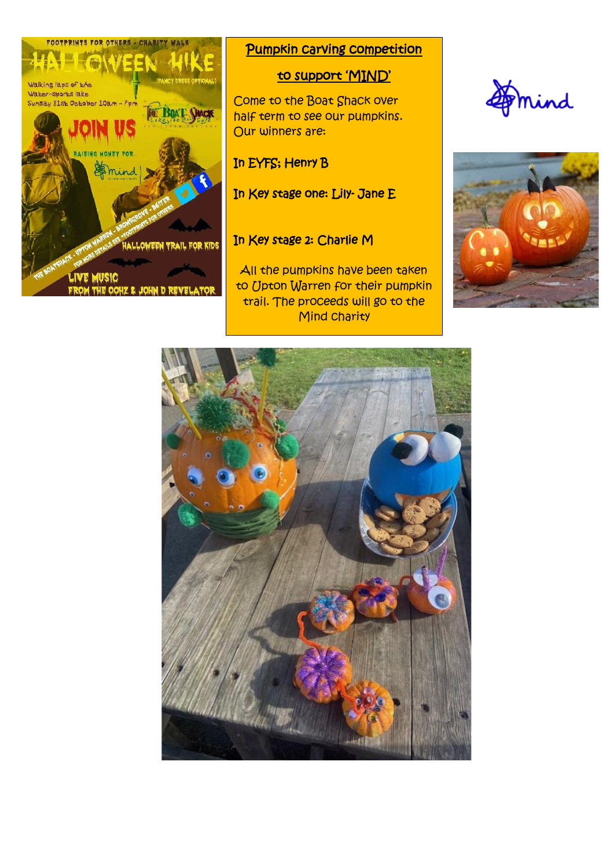

### Pumpkin carving competition

# to support 'MIND'

Come to the Boat Shack over half term to see our pumpkins. Our winners are:

## In EYFS; Henry B

In Key stage one: Lily- Jane E

### In Key stage 2: Charlie M

All the pumpkins have been taken to Upton Warren for their pumpkin trail. The proceeds will go to the **Mind charity** 





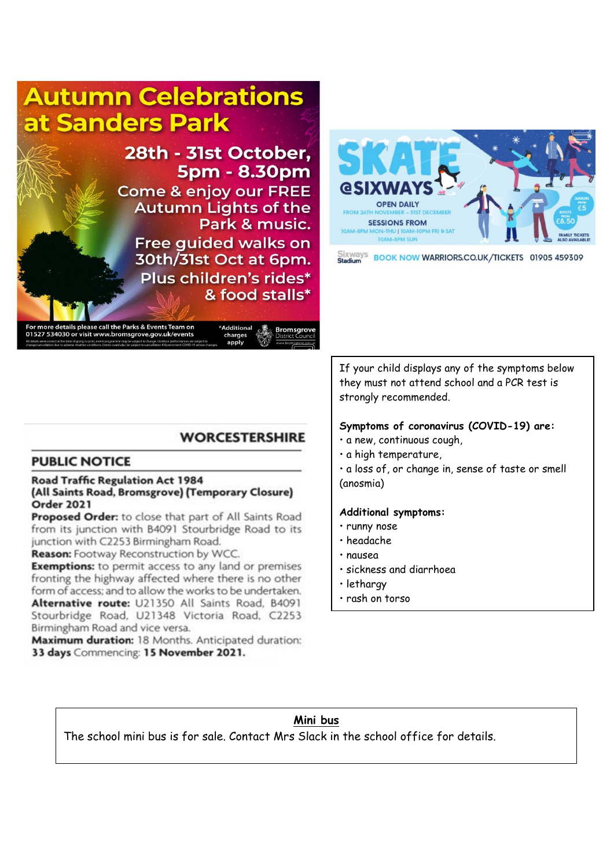# **Autumn Celebrations** at Sanders Park

28th - 31st October. **5pm - 8.30pm Come & enjoy our FREE Autumn Lights of the** Park & music. Free guided walks on 30th/31st Oct at 6pm. Plus children's rides\* & food stalls\*



Sixways BOOK NOW WARRIORS.CO.UK/TICKETS 01905 459309

ils please call the Parks & Events Team or 01527 534030 or visit www.bromsgrove.gov.uk/events

**Bromsgrov** 

# **WORCESTERSHIRE**

Additional

charges apply

#### **PUBLIC NOTICE**

#### **Road Traffic Regulation Act 1984** (All Saints Road, Bromsgrove) (Temporary Closure) Order 2021

Proposed Order: to close that part of All Saints Road from its junction with B4091 Stourbridge Road to its junction with C2253 Birmingham Road.

Reason: Footway Reconstruction by WCC.

**Exemptions:** to permit access to any land or premises fronting the highway affected where there is no other form of access; and to allow the works to be undertaken. Alternative route: U21350 All Saints Road, B4091 Stourbridge Road, U21348 Victoria Road, C2253 Birmingham Road and vice versa.

Maximum duration: 18 Months. Anticipated duration: 33 days Commencing: 15 November 2021.

If your child displays any of the symptoms below they must not attend school and a PCR test is strongly recommended.

#### **Symptoms of coronavirus (COVID-19) are:**

- a new, continuous cough,
- a high temperature,

• a loss of, or change in, sense of taste or smell (anosmia)

#### **Additional symptoms:**

- runny nose
- headache
- nausea
- sickness and diarrhoea
- lethargy
- rash on torso

#### **Mini bus**

The school mini bus is for sale. Contact Mrs Slack in the school office for details.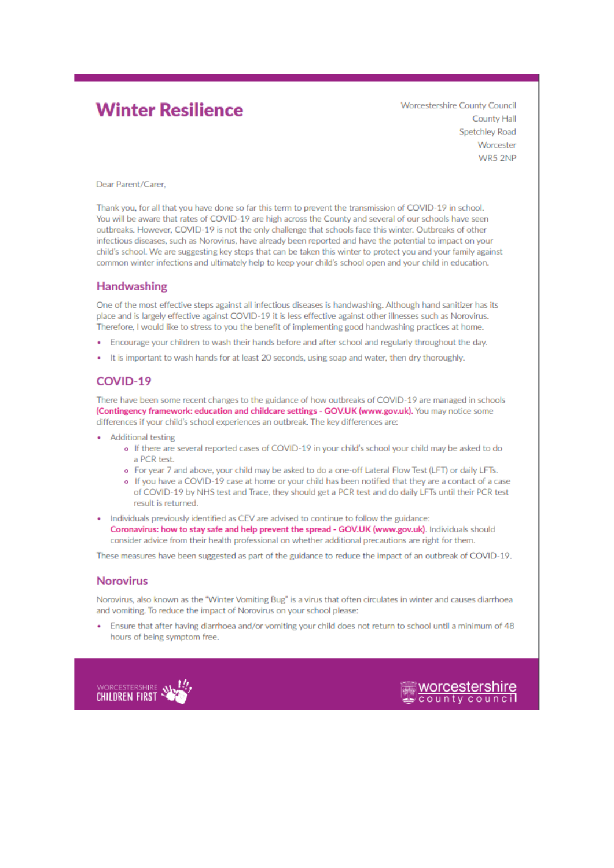# **Winter Resilience**

**Worcestershire County Council County Hall** Spetchlev Road Worcester WR5 2NP

Dear Parent/Carer,

Thank you, for all that you have done so far this term to prevent the transmission of COVID-19 in school. You will be aware that rates of COVID-19 are high across the County and several of our schools have seen outbreaks. However, COVID-19 is not the only challenge that schools face this winter. Outbreaks of other infectious diseases, such as Norovirus, have already been reported and have the potential to impact on your child's school. We are suggesting key steps that can be taken this winter to protect you and your family against common winter infections and ultimately help to keep your child's school open and your child in education.

#### **Handwashing**

One of the most effective steps against all infectious diseases is handwashing. Although hand sanitizer has its place and is largely effective against COVID-19 it is less effective against other illnesses such as Norovirus. Therefore, I would like to stress to you the benefit of implementing good handwashing practices at home.

- Encourage your children to wash their hands before and after school and regularly throughout the day.
- It is important to wash hands for at least 20 seconds, using soap and water, then dry thoroughly.

#### COVID-19

There have been some recent changes to the guidance of how outbreaks of COVID-19 are managed in schools (Contingency framework: education and childcare settings - GOV.UK (www.gov.uk). You may notice some differences if your child's school experiences an outbreak. The key differences are:

- **Additional testing** 
	- o If there are several reported cases of COVID-19 in your child's school your child may be asked to do a PCR test.
	- o For year 7 and above, your child may be asked to do a one-off Lateral Flow Test (LFT) or daily LFTs.
	- If you have a COVID-19 case at home or your child has been notified that they are a contact of a case of COVID-19 by NHS test and Trace, they should get a PCR test and do daily LFTs until their PCR test result is returned.
- . Individuals previously identified as CEV are advised to continue to follow the guidance: Coronavirus: how to stay safe and help prevent the spread - GOV.UK (www.gov.uk). Individuals should consider advice from their health professional on whether additional precautions are right for them.

These measures have been suggested as part of the guidance to reduce the impact of an outbreak of COVID-19.

#### **Norovirus**

Norovirus, also known as the "Winter Vomiting Bug" is a virus that often circulates in winter and causes diarrhoea and vomiting. To reduce the impact of Norovirus on your school please:

Ensure that after having diarrhoea and/or vomiting your child does not return to school until a minimum of 48 hours of being symptom free.